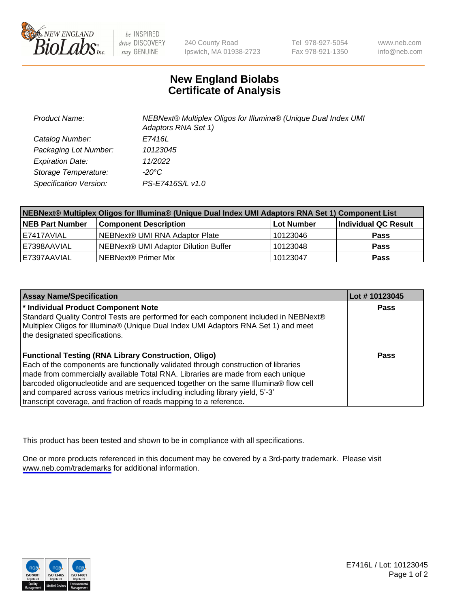

be INSPIRED drive DISCOVERY stay GENUINE

240 County Road Ipswich, MA 01938-2723 Tel 978-927-5054 Fax 978-921-1350

www.neb.com info@neb.com

## **New England Biolabs Certificate of Analysis**

| <b>Product Name:</b>    | NEBNext® Multiplex Oligos for Illumina® (Unique Dual Index UMI<br>Adaptors RNA Set 1) |
|-------------------------|---------------------------------------------------------------------------------------|
| Catalog Number:         | E7416L                                                                                |
| Packaging Lot Number:   | 10123045                                                                              |
| <b>Expiration Date:</b> | 11/2022                                                                               |
| Storage Temperature:    | -20°C                                                                                 |
| Specification Version:  | PS-E7416S/L v1.0                                                                      |

| NEBNext® Multiplex Oligos for Illumina® (Unique Dual Index UMI Adaptors RNA Set 1) Component List |                                      |            |                      |  |
|---------------------------------------------------------------------------------------------------|--------------------------------------|------------|----------------------|--|
| <b>NEB Part Number</b>                                                                            | <b>Component Description</b>         | Lot Number | Individual QC Result |  |
| I E7417AVIAL                                                                                      | NEBNext® UMI RNA Adaptor Plate       | 10123046   | <b>Pass</b>          |  |
| LE7398AAVIAL                                                                                      | NEBNext® UMI Adaptor Dilution Buffer | 10123048   | <b>Pass</b>          |  |
| E7397AAVIAL                                                                                       | NEBNext® Primer Mix                  | 10123047   | <b>Pass</b>          |  |

| <b>Assay Name/Specification</b>                                                                                                                                                                                                                                                                                                                                                                                                                                                    | Lot #10123045 |
|------------------------------------------------------------------------------------------------------------------------------------------------------------------------------------------------------------------------------------------------------------------------------------------------------------------------------------------------------------------------------------------------------------------------------------------------------------------------------------|---------------|
| * Individual Product Component Note<br>Standard Quality Control Tests are performed for each component included in NEBNext®<br>Multiplex Oligos for Illumina® (Unique Dual Index UMI Adaptors RNA Set 1) and meet<br>the designated specifications.                                                                                                                                                                                                                                | <b>Pass</b>   |
| <b>Functional Testing (RNA Library Construction, Oligo)</b><br>Each of the components are functionally validated through construction of libraries<br>made from commercially available Total RNA. Libraries are made from each unique<br>barcoded oligonucleotide and are sequenced together on the same Illumina® flow cell<br>and compared across various metrics including including library yield, 5'-3'<br>transcript coverage, and fraction of reads mapping to a reference. | Pass          |

This product has been tested and shown to be in compliance with all specifications.

One or more products referenced in this document may be covered by a 3rd-party trademark. Please visit <www.neb.com/trademarks>for additional information.